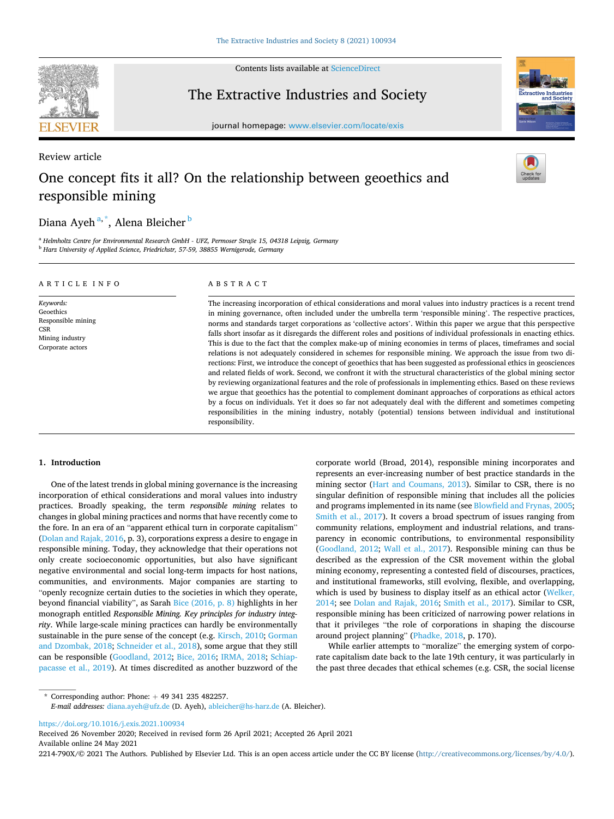

Contents lists available at [ScienceDirect](www.sciencedirect.com/science/journal/2214790X)

## The Extractive Industries and Society

journal homepage: [www.elsevier.com/locate/exis](https://www.elsevier.com/locate/exis) 

# Review article One concept fits it all? On the relationship between geoethics and responsible mining

## Diana Ayeh<sup>a,\*</sup>, Alena Bleicher <sup>b</sup>

<sup>a</sup> *Helmholtz Centre for Environmental Research GmbH - UFZ, Permoser Straße 15, 04318 Leipzig, Germany* <sup>b</sup> *Harz University of Applied Science, Friedrichstr, 57-59, 38855 Wernigerode, Germany* 

#### ARTICLE INFO

*Keywords:*  Geoethics Responsible mining **CSR** Mining industry Corporate actors

#### ABSTRACT

The increasing incorporation of ethical considerations and moral values into industry practices is a recent trend in mining governance, often included under the umbrella term 'responsible mining'. The respective practices, norms and standards target corporations as 'collective actors'. Within this paper we argue that this perspective falls short insofar as it disregards the different roles and positions of individual professionals in enacting ethics. This is due to the fact that the complex make-up of mining economies in terms of places, timeframes and social relations is not adequately considered in schemes for responsible mining. We approach the issue from two directions: First, we introduce the concept of geoethics that has been suggested as professional ethics in geosciences and related fields of work. Second, we confront it with the structural characteristics of the global mining sector by reviewing organizational features and the role of professionals in implementing ethics. Based on these reviews we argue that geoethics has the potential to complement dominant approaches of corporations as ethical actors by a focus on individuals. Yet it does so far not adequately deal with the different and sometimes competing responsibilities in the mining industry, notably (potential) tensions between individual and institutional responsibility.

#### **1. Introduction**

One of the latest trends in global mining governance is the increasing incorporation of ethical considerations and moral values into industry practices. Broadly speaking, the term *responsible mining* relates to changes in global mining practices and norms that have recently come to the fore. In an era of an "apparent ethical turn in corporate capitalism" ([Dolan and Rajak, 2016,](#page-9-0) p. 3), corporations express a desire to engage in responsible mining. Today, they acknowledge that their operations not only create socioeconomic opportunities, but also have significant negative environmental and social long-term impacts for host nations, communities, and environments. Major companies are starting to "openly recognize certain duties to the societies in which they operate, beyond financial viability", as Sarah [Bice \(2016, p. 8\)](#page-9-0) highlights in her monograph entitled *Responsible Mining. Key principles for industry integrity*. While large-scale mining practices can hardly be environmentally sustainable in the pure sense of the concept (e.g. [Kirsch, 2010; Gorman](#page-9-0)  [and Dzombak, 2018;](#page-9-0) [Schneider et al., 2018\)](#page-10-0), some argue that they still can be responsible [\(Goodland, 2012;](#page-9-0) [Bice, 2016](#page-9-0); [IRMA, 2018;](#page-9-0) [Schiap](#page-10-0)[pacasse et al., 2019](#page-10-0)). At times discredited as another buzzword of the corporate world (Broad, 2014), responsible mining incorporates and represents an ever-increasing number of best practice standards in the mining sector ([Hart and Coumans, 2013](#page-9-0)). Similar to CSR, there is no singular definition of responsible mining that includes all the policies and programs implemented in its name (see [Blowfield and Frynas, 2005](#page-9-0); [Smith et al., 2017](#page-10-0)). It covers a broad spectrum of issues ranging from community relations, employment and industrial relations, and transparency in economic contributions, to environmental responsibility ([Goodland, 2012](#page-9-0); [Wall et al., 2017\)](#page-10-0). Responsible mining can thus be described as the expression of the CSR movement within the global mining economy, representing a contested field of discourses, practices, and institutional frameworks, still evolving, flexible, and overlapping, which is used by business to display itself as an ethical actor [\(Welker,](#page-10-0)  [2014;](#page-10-0) see [Dolan and Rajak, 2016;](#page-9-0) [Smith et al., 2017](#page-10-0)). Similar to CSR, responsible mining has been criticized of narrowing power relations in that it privileges "the role of corporations in shaping the discourse around project planning" ([Phadke, 2018](#page-10-0), p. 170).

While earlier attempts to "moralize" the emerging system of corporate capitalism date back to the late 19th century, it was particularly in the past three decades that ethical schemes (e.g. CSR, the social license

 $*$  Corresponding author: Phone:  $+49341235482257$ .

*E-mail addresses:* [diana.ayeh@ufz.de](mailto:diana.ayeh@ufz.de) (D. Ayeh), [ableicher@hs-harz.de](mailto:ableicher@hs-harz.de) (A. Bleicher).

<https://doi.org/10.1016/j.exis.2021.100934>

Available online 24 May 2021 Received 26 November 2020; Received in revised form 26 April 2021; Accepted 26 April 2021

2214-790X/© 2021 The Authors. Published by Elsevier Ltd. This is an open access article under the CC BY license [\(http://creativecommons.org/licenses/by/4.0/\)](http://creativecommons.org/licenses/by/4.0/).

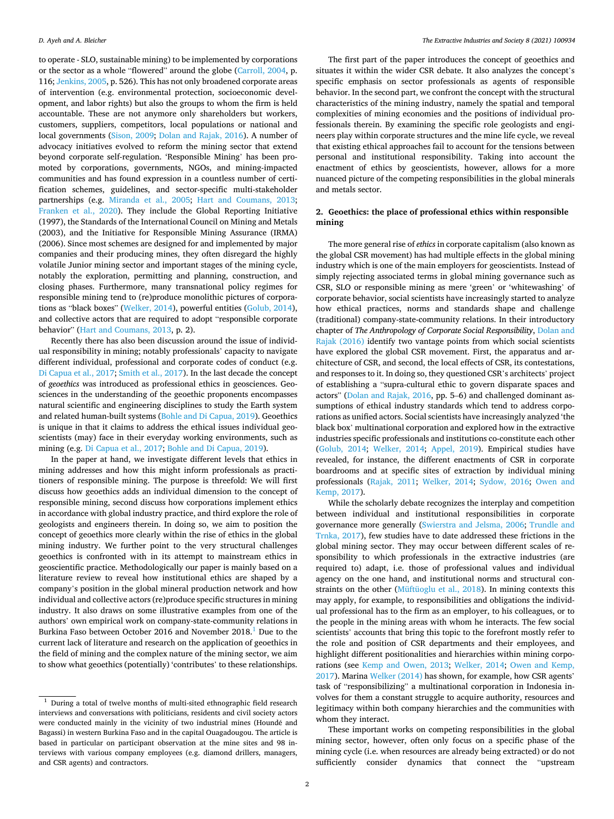to operate - SLO, sustainable mining) to be implemented by corporations or the sector as a whole "flowered" around the globe [\(Carroll, 2004](#page-9-0), p. 116; [Jenkins, 2005](#page-9-0), p. 526). This has not only broadened corporate areas of intervention (e.g. environmental protection, socioeconomic development, and labor rights) but also the groups to whom the firm is held accountable. These are not anymore only shareholders but workers, customers, suppliers, competitors, local populations or national and local governments [\(Sison, 2009](#page-10-0); [Dolan and Rajak, 2016](#page-9-0)). A number of advocacy initiatives evolved to reform the mining sector that extend beyond corporate self-regulation. 'Responsible Mining' has been promoted by corporations, governments, NGOs, and mining-impacted communities and has found expression in a countless number of certification schemes, guidelines, and sector-specific multi-stakeholder partnerships (e.g. [Miranda et al., 2005;](#page-10-0) [Hart and Coumans, 2013](#page-9-0); [Franken et al., 2020](#page-9-0)). They include the Global Reporting Initiative (1997), the Standards of the International Council on Mining and Metals (2003), and the Initiative for Responsible Mining Assurance (IRMA) (2006). Since most schemes are designed for and implemented by major companies and their producing mines, they often disregard the highly volatile Junior mining sector and important stages of the mining cycle, notably the exploration, permitting and planning, construction, and closing phases. Furthermore, many transnational policy regimes for responsible mining tend to (re)produce monolithic pictures of corporations as "black boxes" ([Welker, 2014](#page-10-0)), powerful entities ([Golub, 2014](#page-9-0)), and collective actors that are required to adopt "responsible corporate behavior" ([Hart and Coumans, 2013](#page-9-0), p. 2).

Recently there has also been discussion around the issue of individual responsibility in mining; notably professionals' capacity to navigate different individual, professional and corporate codes of conduct (e.g. [Di Capua et al., 2017](#page-9-0); [Smith et al., 2017\)](#page-10-0). In the last decade the concept of *geoethics* was introduced as professional ethics in geosciences. Geosciences in the understanding of the geoethic proponents encompasses natural scientific and engineering disciplines to study the Earth system and related human-built systems [\(Bohle and Di Capua, 2019](#page-9-0)). Geoethics is unique in that it claims to address the ethical issues individual geoscientists (may) face in their everyday working environments, such as mining (e.g. [Di Capua et al., 2017; Bohle and Di Capua, 2019](#page-9-0)).

In the paper at hand, we investigate different levels that ethics in mining addresses and how this might inform professionals as practitioners of responsible mining. The purpose is threefold: We will first discuss how geoethics adds an individual dimension to the concept of responsible mining, second discuss how corporations implement ethics in accordance with global industry practice, and third explore the role of geologists and engineers therein. In doing so, we aim to position the concept of geoethics more clearly within the rise of ethics in the global mining industry. We further point to the very structural challenges geoethics is confronted with in its attempt to mainstream ethics in geoscientific practice. Methodologically our paper is mainly based on a literature review to reveal how institutional ethics are shaped by a company's position in the global mineral production network and how individual and collective actors (re)produce specific structures in mining industry. It also draws on some illustrative examples from one of the authors' own empirical work on company-state-community relations in Burkina Faso between October 2016 and November 2018.<sup>1</sup> Due to the current lack of literature and research on the application of geoethics in the field of mining and the complex nature of the mining sector, we aim to show what geoethics (potentially) 'contributes' to these relationships.

The first part of the paper introduces the concept of geoethics and situates it within the wider CSR debate. It also analyzes the concept's specific emphasis on sector professionals as agents of responsible behavior. In the second part, we confront the concept with the structural characteristics of the mining industry, namely the spatial and temporal complexities of mining economies and the positions of individual professionals therein. By examining the specific role geologists and engineers play within corporate structures and the mine life cycle, we reveal that existing ethical approaches fail to account for the tensions between personal and institutional responsibility. Taking into account the enactment of ethics by geoscientists, however, allows for a more nuanced picture of the competing responsibilities in the global minerals and metals sector.

### **2. Geoethics: the place of professional ethics within responsible mining**

The more general rise of *ethics* in corporate capitalism (also known as the global CSR movement) has had multiple effects in the global mining industry which is one of the main employers for geoscientists. Instead of simply rejecting associated terms in global mining governance such as CSR, SLO or responsible mining as mere 'green' or 'whitewashing' of corporate behavior, social scientists have increasingly started to analyze how ethical practices, norms and standards shape and challenge (traditional) company-state-community relations. In their introductory chapter of *The Anthropology of Corporate Social Responsibility*, [Dolan and](#page-9-0)  [Rajak \(2016\)](#page-9-0) identify two vantage points from which social scientists have explored the global CSR movement. First, the apparatus and architecture of CSR, and second, the local effects of CSR, its contestations, and responses to it. In doing so, they questioned CSR's architects' project of establishing a "supra-cultural ethic to govern disparate spaces and actors" ([Dolan and Rajak, 2016](#page-9-0), pp. 5–6) and challenged dominant assumptions of ethical industry standards which tend to address corporations as unified actors. Social scientists have increasingly analyzed 'the black box' multinational corporation and explored how in the extractive industries specific professionals and institutions co-constitute each other ([Golub, 2014](#page-9-0); [Welker, 2014;](#page-10-0) [Appel, 2019\)](#page-9-0). Empirical studies have revealed, for instance, the different enactments of CSR in corporate boardrooms and at specific sites of extraction by individual mining professionals [\(Rajak, 2011;](#page-10-0) [Welker, 2014](#page-10-0); [Sydow, 2016;](#page-10-0) [Owen and](#page-10-0)  [Kemp, 2017](#page-10-0)).

While the scholarly debate recognizes the interplay and competition between individual and institutional responsibilities in corporate governance more generally ([Swierstra and Jelsma, 2006;](#page-10-0) [Trundle and](#page-10-0)  [Trnka, 2017](#page-10-0)), few studies have to date addressed these frictions in the global mining sector. They may occur between different scales of responsibility to which professionals in the extractive industries (are required to) adapt, i.e. those of professional values and individual agency on the one hand, and institutional norms and structural constraints on the other ([Müftüoglu et al., 2018\)](#page-10-0). In mining contexts this may apply, for example, to responsibilities and obligations the individual professional has to the firm as an employer, to his colleagues, or to the people in the mining areas with whom he interacts. The few social scientists' accounts that bring this topic to the forefront mostly refer to the role and position of CSR departments and their employees, and highlight different positionalities and hierarchies within mining corporations (see [Kemp and Owen, 2013](#page-9-0); [Welker, 2014](#page-10-0); [Owen and Kemp,](#page-10-0)  [2017\)](#page-10-0). Marina [Welker \(2014\)](#page-10-0) has shown, for example, how CSR agents' task of "responsibilizing" a multinational corporation in Indonesia involves for them a constant struggle to acquire authority, resources and legitimacy within both company hierarchies and the communities with whom they interact.

These important works on competing responsibilities in the global mining sector, however, often only focus on a specific phase of the mining cycle (i.e. when resources are already being extracted) or do not sufficiently consider dynamics that connect the "upstream

 $^{\rm 1}$  During a total of twelve months of multi-sited ethnographic field research interviews and conversations with politicians, residents and civil society actors were conducted mainly in the vicinity of two industrial mines (Houndé and Bagassi) in western Burkina Faso and in the capital Ouagadougou. The article is based in particular on participant observation at the mine sites and 98 interviews with various company employees (e.g. diamond drillers, managers, and CSR agents) and contractors.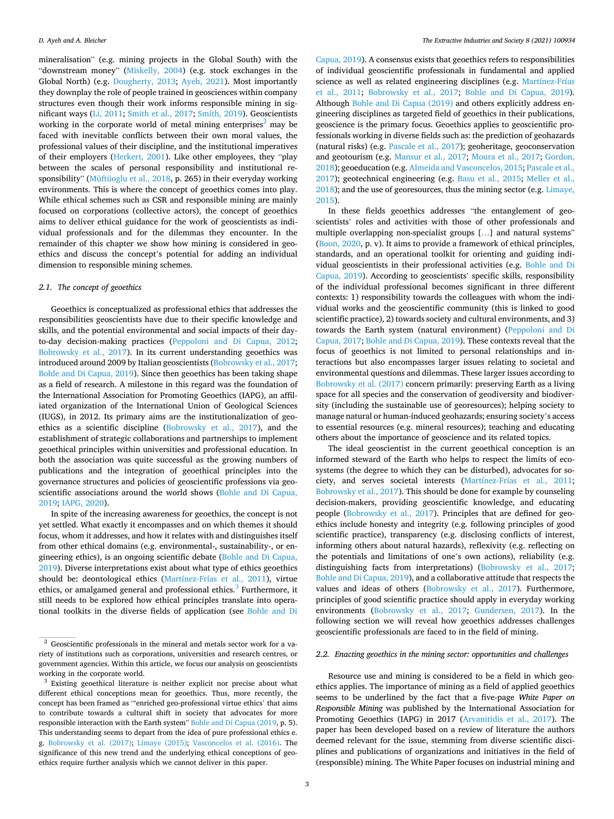mineralisation" (e.g. mining projects in the Global South) with the "downstream money" [\(Miskelly, 2004](#page-10-0)) (e.g. stock exchanges in the Global North) (e.g. [Dougherty, 2013;](#page-9-0) [Ayeh, 2021\)](#page-9-0). Most importantly they downplay the role of people trained in geosciences within company structures even though their work informs responsible mining in significant ways [\(Li, 2011](#page-10-0); [Smith et al., 2017](#page-10-0); [Smith, 2019](#page-10-0)). Geoscientists working in the corporate world of metal mining enterprises<sup>2</sup> may be faced with inevitable conflicts between their own moral values, the professional values of their discipline, and the institutional imperatives of their employers [\(Herkert, 2001\)](#page-9-0). Like other employees, they "play between the scales of personal responsibility and institutional responsibility" ([Müftüoglu et al., 2018,](#page-10-0) p. 265) in their everyday working environments. This is where the concept of geoethics comes into play. While ethical schemes such as CSR and responsible mining are mainly focused on corporations (collective actors), the concept of geoethics aims to deliver ethical guidance for the work of geoscientists as individual professionals and for the dilemmas they encounter. In the remainder of this chapter we show how mining is considered in geoethics and discuss the concept's potential for adding an individual dimension to responsible mining schemes.

## *2.1. The concept of geoethics*

Geoethics is conceptualized as professional ethics that addresses the responsibilities geoscientists have due to their specific knowledge and skills, and the potential environmental and social impacts of their dayto-day decision-making practices [\(Peppoloni and Di Capua, 2012](#page-10-0); [Bobrowsky et al., 2017](#page-9-0)). In its current understanding geoethics was introduced around 2009 by Italian geoscientists [\(Bobrowsky et al., 2017](#page-9-0); [Bohle and Di Capua, 2019\)](#page-9-0). Since then geoethics has been taking shape as a field of research. A milestone in this regard was the foundation of the International Association for Promoting Geoethics (IAPG), an affiliated organization of the International Union of Geological Sciences (IUGS), in 2012. Its primary aims are the institutionalization of geoethics as a scientific discipline [\(Bobrowsky et al., 2017\)](#page-9-0), and the establishment of strategic collaborations and partnerships to implement geoethical principles within universities and professional education. In both the association was quite successful as the growing numbers of publications and the integration of geoethical principles into the governance structures and policies of geoscientific professions via geoscientific associations around the world shows [\(Bohle and Di Capua,](#page-9-0)  [2019; IAPG, 2020\)](#page-9-0).

In spite of the increasing awareness for geoethics, the concept is not yet settled. What exactly it encompasses and on which themes it should focus, whom it addresses, and how it relates with and distinguishes itself from other ethical domains (e.g. environmental-, sustainability-, or engineering ethics), is an ongoing scientific debate [\(Bohle and Di Capua,](#page-9-0)  [2019\)](#page-9-0). Diverse interpretations exist about what type of ethics geoethics should be: deontological ethics [\(Martínez-Frías et al., 2011](#page-10-0)), virtue ethics, or amalgamed general and professional ethics.<sup>3</sup> Furthermore, it still needs to be explored how ethical principles translate into operational toolkits in the diverse fields of application (see [Bohle and Di](#page-9-0) 

[Capua, 2019\)](#page-9-0). A consensus exists that geoethics refers to responsibilities of individual geoscientific professionals in fundamental and applied science as well as related engineering disciplines (e.g. [Martínez-Frías](#page-10-0)  [et al., 2011;](#page-10-0) [Bobrowsky et al., 2017;](#page-9-0) [Bohle and Di Capua, 2019](#page-9-0)). Although [Bohle and Di Capua \(2019\)](#page-9-0) and others explicitly address engineering disciplines as targeted field of geoethics in their publications, geoscience is the primary focus. Geoethics applies to geoscientific professionals working in diverse fields such as: the prediction of geohazards (natural risks) (e.g. [Pascale et al., 2017](#page-10-0)); geoheritage, geoconservation and geotourism (e.g. [Mansur et al., 2017;](#page-10-0) [Moura et al., 2017](#page-10-0); [Gordon,](#page-9-0)  [2018\)](#page-9-0); geoeducation (e.g. [Almeida and Vasconcelos, 2015](#page-9-0); [Pascale et al.,](#page-10-0)  [2017\)](#page-10-0); geotechnical engineering (e.g. [Basu et al., 2015;](#page-9-0) [Meller et al.,](#page-10-0)  [2018\)](#page-10-0); and the use of georesources, thus the mining sector (e.g. [Limaye,](#page-10-0)  [2015\)](#page-10-0).

In these fields geoethics addresses "the entanglement of geoscientists' roles and activities with those of other professionals and multiple overlapping non-specialist groups […] and natural systems" ([Boon, 2020,](#page-9-0) p. v). It aims to provide a framework of ethical principles, standards, and an operational toolkit for orienting and guiding individual geoscientists in their professional activities (e.g. [Bohle and Di](#page-9-0)  [Capua, 2019\)](#page-9-0). According to geoscientists' specific skills, responsibility of the individual professional becomes significant in three different contexts: 1) responsibility towards the colleagues with whom the individual works and the geoscientific community (this is linked to good scientific practice), 2) towards society and cultural environments, and 3) towards the Earth system (natural environment) ([Peppoloni and Di](#page-10-0)  [Capua, 2017;](#page-10-0) [Bohle and Di Capua, 2019](#page-9-0)). These contexts reveal that the focus of geoethics is not limited to personal relationships and interactions but also encompasses larger issues relating to societal and environmental questions and dilemmas. These larger issues according to [Bobrowsky et al. \(2017\)](#page-9-0) concern primarily: preserving Earth as a living space for all species and the conservation of geodiversity and biodiversity (including the sustainable use of georesources); helping society to manage natural or human-induced geohazards; ensuring society's access to essential resources (e.g. mineral resources); teaching and educating others about the importance of geoscience and its related topics.

The ideal geoscientist in the current geoethical conception is an informed steward of the Earth who helps to respect the limits of ecosystems (the degree to which they can be disturbed), advocates for society, and serves societal interests [\(Martínez-Frías et al., 2011](#page-10-0); [Bobrowsky et al., 2017\)](#page-9-0). This should be done for example by counseling decision-makers, providing geoscientific knowledge, and educating people [\(Bobrowsky et al., 2017\)](#page-9-0). Principles that are defined for geoethics include honesty and integrity (e.g. following principles of good scientific practice), transparency (e.g. disclosing conflicts of interest, informing others about natural hazards), reflexivity (e.g. reflecting on the potentials and limitations of one's own actions), reliability (e.g. distinguishing facts from interpretations) ([Bobrowsky et al., 2017](#page-9-0); [Bohle and Di Capua, 2019\)](#page-9-0), and a collaborative attitude that respects the values and ideas of others ([Bobrowsky et al., 2017](#page-9-0)). Furthermore, principles of good scientific practice should apply in everyday working environments ([Bobrowsky et al., 2017](#page-9-0); [Gundersen, 2017\)](#page-9-0). In the following section we will reveal how geoethics addresses challenges geoscientific professionals are faced to in the field of mining.

#### *2.2. Enacting geoethics in the mining sector: opportunities and challenges*

Resource use and mining is considered to be a field in which geoethics applies. The importance of mining as a field of applied geoethics seems to be underlined by the fact that a five-page *White Paper on Responsible Mining* was published by the International Association for Promoting Geoethics (IAPG) in 2017 [\(Arvanitidis et al., 2017](#page-9-0)). The paper has been developed based on a review of literature the authors deemed relevant for the issue, stemming from diverse scientific disciplines and publications of organizations and initiatives in the field of (responsible) mining. The White Paper focuses on industrial mining and

 $\frac{2}{3}$  Geoscientific professionals in the mineral and metals sector work for a variety of institutions such as corporations, universities and research centres, or government agencies. Within this article, we focus our analysis on geoscientists working in the corporate world.<br><sup>3</sup> Existing geoethical literature is neither explicit nor precise about what

different ethical conceptions mean for geoethics. Thus, more recently, the concept has been framed as "'enriched geo-professional virtue ethics' that aims to contribute towards a cultural shift in society that advocates for more responsible interaction with the Earth system" [Bohle and Di Capua \(2019](#page-9-0), p. 5). This understanding seems to depart from the idea of pure professional ethics e. g. [Bobrowsky et al. \(2017\);](#page-9-0) [Limaye \(2015\)](#page-10-0); [Vasconcelos et al. \(2016\)](#page-10-0). The significance of this new trend and the underlying ethical conceptions of geoethics require further analysis which we cannot deliver in this paper.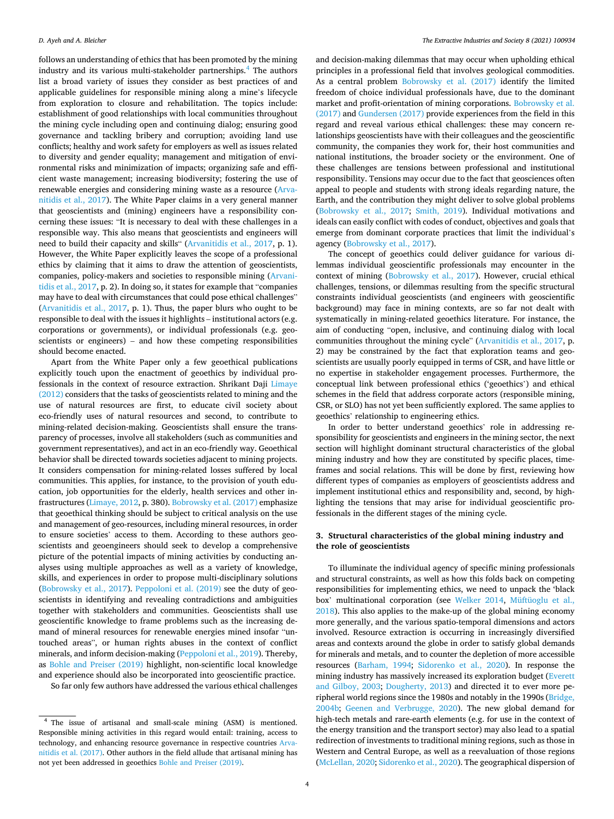follows an understanding of ethics that has been promoted by the mining industry and its various multi-stakeholder partnerships.<sup>4</sup> The authors list a broad variety of issues they consider as best practices of and applicable guidelines for responsible mining along a mine's lifecycle from exploration to closure and rehabilitation. The topics include: establishment of good relationships with local communities throughout the mining cycle including open and continuing dialog; ensuring good governance and tackling bribery and corruption; avoiding land use conflicts; healthy and work safety for employers as well as issues related to diversity and gender equality; management and mitigation of environmental risks and minimization of impacts; organizing safe and efficient waste management; increasing biodiversity; fostering the use of renewable energies and considering mining waste as a resource [\(Arva](#page-9-0)[nitidis et al., 2017](#page-9-0)). The White Paper claims in a very general manner that geoscientists and (mining) engineers have a responsibility concerning these issues: "It is necessary to deal with these challenges in a responsible way. This also means that geoscientists and engineers will need to build their capacity and skills" [\(Arvanitidis et al., 2017,](#page-9-0) p. 1). However, the White Paper explicitly leaves the scope of a professional ethics by claiming that it aims to draw the attention of geoscientists, companies, policy-makers and societies to responsible mining [\(Arvani](#page-9-0)[tidis et al., 2017,](#page-9-0) p. 2). In doing so, it states for example that "companies may have to deal with circumstances that could pose ethical challenges" ([Arvanitidis et al., 2017](#page-9-0), p. 1). Thus, the paper blurs who ought to be responsible to deal with the issues it highlights – institutional actors (e.g. corporations or governments), or individual professionals (e.g. geoscientists or engineers) – and how these competing responsibilities should become enacted.

Apart from the White Paper only a few geoethical publications explicitly touch upon the enactment of geoethics by individual professionals in the context of resource extraction. Shrikant Daji [Limaye](#page-10-0)  [\(2012\)](#page-10-0) considers that the tasks of geoscientists related to mining and the use of natural resources are first, to educate civil society about eco-friendly uses of natural resources and second, to contribute to mining-related decision-making. Geoscientists shall ensure the transparency of processes, involve all stakeholders (such as communities and government representatives), and act in an eco-friendly way. Geoethical behavior shall be directed towards societies adjacent to mining projects. It considers compensation for mining-related losses suffered by local communities. This applies, for instance, to the provision of youth education, job opportunities for the elderly, health services and other infrastructures ([Limaye, 2012](#page-10-0), p. 380). [Bobrowsky et al. \(2017\)](#page-9-0) emphasize that geoethical thinking should be subject to critical analysis on the use and management of geo-resources, including mineral resources, in order to ensure societies' access to them. According to these authors geoscientists and geoengineers should seek to develop a comprehensive picture of the potential impacts of mining activities by conducting analyses using multiple approaches as well as a variety of knowledge, skills, and experiences in order to propose multi-disciplinary solutions ([Bobrowsky et al., 2017](#page-9-0)). [Peppoloni et al. \(2019\)](#page-10-0) see the duty of geoscientists in identifying and revealing contradictions and ambiguities together with stakeholders and communities. Geoscientists shall use geoscientific knowledge to frame problems such as the increasing demand of mineral resources for renewable energies mined insofar "untouched areas", or human rights abuses in the context of conflict minerals, and inform decision-making ([Peppoloni et al., 2019\)](#page-10-0). Thereby, as [Bohle and Preiser \(2019\)](#page-9-0) highlight, non-scientific local knowledge and experience should also be incorporated into geoscientific practice.

So far only few authors have addressed the various ethical challenges

and decision-making dilemmas that may occur when upholding ethical principles in a professional field that involves geological commodities. As a central problem [Bobrowsky et al. \(2017\)](#page-9-0) identify the limited freedom of choice individual professionals have, due to the dominant market and profit-orientation of mining corporations. [Bobrowsky et al.](#page-9-0)  [\(2017\)](#page-9-0) and [Gundersen \(2017\)](#page-9-0) provide experiences from the field in this regard and reveal various ethical challenges: these may concern relationships geoscientists have with their colleagues and the geoscientific community, the companies they work for, their host communities and national institutions, the broader society or the environment. One of these challenges are tensions between professional and institutional responsibility. Tensions may occur due to the fact that geosciences often appeal to people and students with strong ideals regarding nature, the Earth, and the contribution they might deliver to solve global problems ([Bobrowsky et al., 2017;](#page-9-0) [Smith, 2019\)](#page-10-0). Individual motivations and ideals can easily conflict with codes of conduct, objectives and goals that emerge from dominant corporate practices that limit the individual's agency ([Bobrowsky et al., 2017](#page-9-0)).

The concept of geoethics could deliver guidance for various dilemmas individual geoscientific professionals may encounter in the context of mining [\(Bobrowsky et al., 2017](#page-9-0)). However, crucial ethical challenges, tensions, or dilemmas resulting from the specific structural constraints individual geoscientists (and engineers with geoscientific background) may face in mining contexts, are so far not dealt with systematically in mining-related geoethics literature. For instance, the aim of conducting "open, inclusive, and continuing dialog with local communities throughout the mining cycle" [\(Arvanitidis et al., 2017](#page-9-0), p. 2) may be constrained by the fact that exploration teams and geoscientists are usually poorly equipped in terms of CSR, and have little or no expertise in stakeholder engagement processes. Furthermore, the conceptual link between professional ethics ('geoethics') and ethical schemes in the field that address corporate actors (responsible mining, CSR, or SLO) has not yet been sufficiently explored. The same applies to geoethics' relationship to engineering ethics.

In order to better understand geoethics' role in addressing responsibility for geoscientists and engineers in the mining sector, the next section will highlight dominant structural characteristics of the global mining industry and how they are constituted by specific places, timeframes and social relations. This will be done by first, reviewing how different types of companies as employers of geoscientists address and implement institutional ethics and responsibility and, second, by highlighting the tensions that may arise for individual geoscientific professionals in the different stages of the mining cycle.

## **3. Structural characteristics of the global mining industry and the role of geoscientists**

To illuminate the individual agency of specific mining professionals and structural constraints, as well as how this folds back on competing responsibilities for implementing ethics, we need to unpack the 'black box' multinational corporation (see [Welker 2014,](#page-10-0) [Müftüoglu et al.,](#page-10-0)  [2018\)](#page-10-0). This also applies to the make-up of the global mining economy more generally, and the various spatio-temporal dimensions and actors involved. Resource extraction is occurring in increasingly diversified areas and contexts around the globe in order to satisfy global demands for minerals and metals, and to counter the depletion of more accessible resources [\(Barham, 1994](#page-9-0); [Sidorenko et al., 2020](#page-10-0)). In response the mining industry has massively increased its exploration budget [\(Everett](#page-9-0)  [and Gilboy, 2003](#page-9-0); [Dougherty, 2013\)](#page-9-0) and directed it to ever more peripheral world regions since the 1980s and notably in the 1990s ([Bridge,](#page-9-0)  [2004b;](#page-9-0) [Geenen and Verbrugge, 2020\)](#page-9-0). The new global demand for high-tech metals and rare-earth elements (e.g. for use in the context of the energy transition and the transport sector) may also lead to a spatial redirection of investments to traditional mining regions, such as those in Western and Central Europe, as well as a reevaluation of those regions ([McLellan, 2020; Sidorenko et al., 2020\)](#page-10-0). The geographical dispersion of

<sup>4</sup> The issue of artisanal and small-scale mining (ASM) is mentioned. Responsible mining activities in this regard would entail: training, access to technology, and enhancing resource governance in respective countries [Arva](#page-9-0)[nitidis et al. \(2017\)](#page-9-0). Other authors in the field allude that artisanal mining has not yet been addressed in geoethics [Bohle and Preiser \(2019\).](#page-9-0)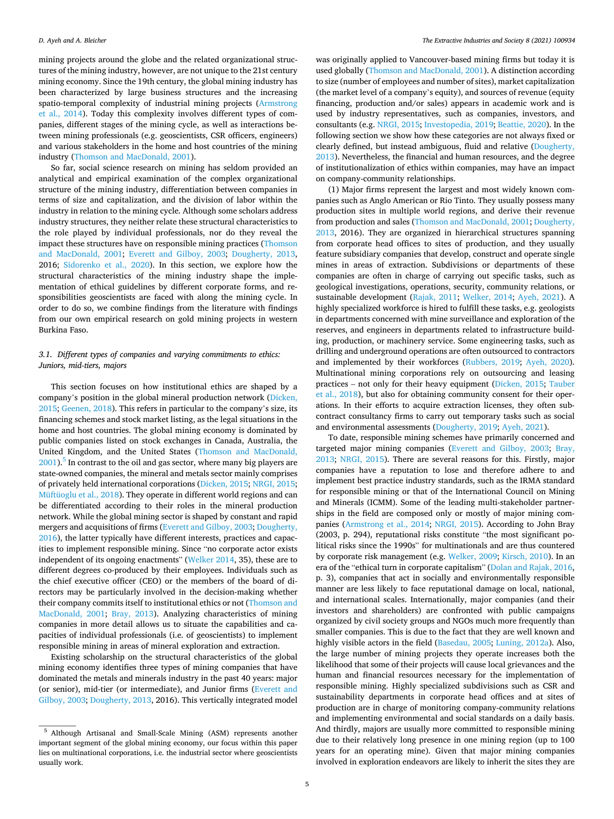mining projects around the globe and the related organizational structures of the mining industry, however, are not unique to the 21st century mining economy. Since the 19th century, the global mining industry has been characterized by large business structures and the increasing spatio-temporal complexity of industrial mining projects [\(Armstrong](#page-9-0)  [et al., 2014\)](#page-9-0). Today this complexity involves different types of companies, different stages of the mining cycle, as well as interactions between mining professionals (e.g. geoscientists, CSR officers, engineers) and various stakeholders in the home and host countries of the mining industry [\(Thomson and MacDonald, 2001](#page-10-0)).

So far, social science research on mining has seldom provided an analytical and empirical examination of the complex organizational structure of the mining industry, differentiation between companies in terms of size and capitalization, and the division of labor within the industry in relation to the mining cycle. Although some scholars address industry structures, they neither relate these structural characteristics to the role played by individual professionals, nor do they reveal the impact these structures have on responsible mining practices [\(Thomson](#page-10-0)  [and MacDonald, 2001;](#page-10-0) [Everett and Gilboy, 2003;](#page-9-0) [Dougherty, 2013](#page-9-0), 2016; [Sidorenko et al., 2020](#page-10-0)). In this section, we explore how the structural characteristics of the mining industry shape the implementation of ethical guidelines by different corporate forms, and responsibilities geoscientists are faced with along the mining cycle. In order to do so, we combine findings from the literature with findings from our own empirical research on gold mining projects in western Burkina Faso.

### *3.1. Different types of companies and varying commitments to ethics: Juniors, mid-tiers, majors*

This section focuses on how institutional ethics are shaped by a company's position in the global mineral production network [\(Dicken,](#page-9-0)  [2015; Geenen, 2018](#page-9-0)). This refers in particular to the company's size, its financing schemes and stock market listing, as the legal situations in the home and host countries. The global mining economy is dominated by public companies listed on stock exchanges in Canada, Australia, the United Kingdom, and the United States [\(Thomson and MacDonald,](#page-10-0)   $2001$ .<sup>5</sup> In contrast to the oil and gas sector, where many big players are state-owned companies, the mineral and metals sector mainly comprises of privately held international corporations [\(Dicken, 2015;](#page-9-0) [NRGI, 2015](#page-10-0); [Müftüoglu et al., 2018\)](#page-10-0). They operate in different world regions and can be differentiated according to their roles in the mineral production network. While the global mining sector is shaped by constant and rapid mergers and acquisitions of firms ([Everett and Gilboy, 2003](#page-9-0); [Dougherty,](#page-9-0)  [2016\)](#page-9-0), the latter typically have different interests, practices and capacities to implement responsible mining. Since "no corporate actor exists independent of its ongoing enactments" [\(Welker 2014](#page-10-0), 35), these are to different degrees co-produced by their employees. Individuals such as the chief executive officer (CEO) or the members of the board of directors may be particularly involved in the decision-making whether their company commits itself to institutional ethics or not [\(Thomson and](#page-10-0)  [MacDonald, 2001](#page-10-0); [Bray, 2013](#page-9-0)). Analyzing characteristics of mining companies in more detail allows us to situate the capabilities and capacities of individual professionals (i.e. of geoscientists) to implement responsible mining in areas of mineral exploration and extraction.

Existing scholarship on the structural characteristics of the global mining economy identifies three types of mining companies that have dominated the metals and minerals industry in the past 40 years: major (or senior), mid-tier (or intermediate), and Junior firms [\(Everett and](#page-9-0)  [Gilboy, 2003](#page-9-0); [Dougherty, 2013,](#page-9-0) 2016). This vertically integrated model

was originally applied to Vancouver-based mining firms but today it is used globally ([Thomson and MacDonald, 2001](#page-10-0)). A distinction according to size (number of employees and number of sites), market capitalization (the market level of a company's equity), and sources of revenue (equity financing, production and/or sales) appears in academic work and is used by industry representatives, such as companies, investors, and consultants (e.g. [NRGI, 2015](#page-10-0); [Investopedia, 2019; Beattie, 2020\)](#page-9-0). In the following section we show how these categories are not always fixed or clearly defined, but instead ambiguous, fluid and relative [\(Dougherty,](#page-9-0)  [2013\)](#page-9-0). Nevertheless, the financial and human resources, and the degree of institutionalization of ethics within companies, may have an impact on company-community relationships.

(1) Major firms represent the largest and most widely known companies such as Anglo American or Rio Tinto. They usually possess many production sites in multiple world regions, and derive their revenue from production and sales ([Thomson and MacDonald, 2001](#page-10-0); [Dougherty,](#page-9-0)  [2013,](#page-9-0) 2016). They are organized in hierarchical structures spanning from corporate head offices to sites of production, and they usually feature subsidiary companies that develop, construct and operate single mines in areas of extraction. Subdivisions or departments of these companies are often in charge of carrying out specific tasks, such as geological investigations, operations, security, community relations, or sustainable development ([Rajak, 2011;](#page-10-0) [Welker, 2014](#page-10-0); [Ayeh, 2021\)](#page-9-0). A highly specialized workforce is hired to fulfill these tasks, e.g. geologists in departments concerned with mine surveillance and exploration of the reserves, and engineers in departments related to infrastructure building, production, or machinery service. Some engineering tasks, such as drilling and underground operations are often outsourced to contractors and implemented by their workforces ([Rubbers, 2019](#page-10-0); [Ayeh, 2020](#page-9-0)). Multinational mining corporations rely on outsourcing and leasing practices – not only for their heavy equipment [\(Dicken, 2015;](#page-9-0) [Tauber](#page-10-0)  [et al., 2018](#page-10-0)), but also for obtaining community consent for their operations. In their efforts to acquire extraction licenses, they often subcontract consultancy firms to carry out temporary tasks such as social and environmental assessments ([Dougherty, 2019; Ayeh, 2021\)](#page-9-0).

To date, responsible mining schemes have primarily concerned and targeted major mining companies [\(Everett and Gilboy, 2003;](#page-9-0) [Bray,](#page-9-0)  [2013;](#page-9-0) [NRGI, 2015\)](#page-10-0). There are several reasons for this. Firstly, major companies have a reputation to lose and therefore adhere to and implement best practice industry standards, such as the IRMA standard for responsible mining or that of the International Council on Mining and Minerals (ICMM). Some of the leading multi-stakeholder partnerships in the field are composed only or mostly of major mining companies [\(Armstrong et al., 2014;](#page-9-0) [NRGI, 2015](#page-10-0)). According to John Bray (2003, p. 294), reputational risks constitute "the most significant political risks since the 1990s" for multinationals and are thus countered by corporate risk management (e.g. [Welker, 2009;](#page-10-0) [Kirsch, 2010\)](#page-9-0). In an era of the "ethical turn in corporate capitalism" ([Dolan and Rajak, 2016](#page-9-0), p. 3), companies that act in socially and environmentally responsible manner are less likely to face reputational damage on local, national, and international scales. Internationally, major companies (and their investors and shareholders) are confronted with public campaigns organized by civil society groups and NGOs much more frequently than smaller companies. This is due to the fact that they are well known and highly visible actors in the field ([Basedau, 2005;](#page-9-0) [Luning, 2012a](#page-10-0)). Also, the large number of mining projects they operate increases both the likelihood that some of their projects will cause local grievances and the human and financial resources necessary for the implementation of responsible mining. Highly specialized subdivisions such as CSR and sustainability departments in corporate head offices and at sites of production are in charge of monitoring company-community relations and implementing environmental and social standards on a daily basis. And thirdly, majors are usually more committed to responsible mining due to their relatively long presence in one mining region (up to 100 years for an operating mine). Given that major mining companies involved in exploration endeavors are likely to inherit the sites they are

<sup>5</sup> Although Artisanal and Small-Scale Mining (ASM) represents another important segment of the global mining economy, our focus within this paper lies on multinational corporations, i.e. the industrial sector where geoscientists usually work.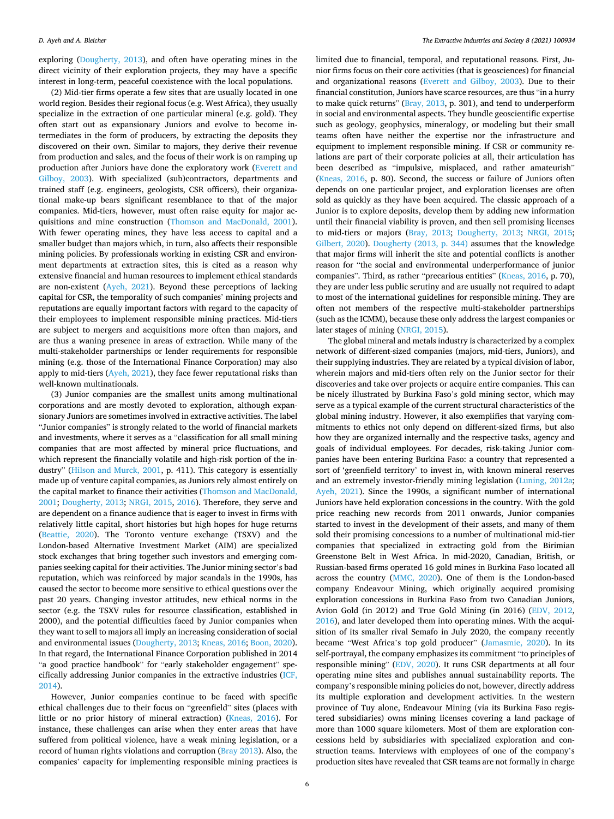exploring [\(Dougherty, 2013](#page-9-0)), and often have operating mines in the direct vicinity of their exploration projects, they may have a specific interest in long-term, peaceful coexistence with the local populations.

(2) Mid-tier firms operate a few sites that are usually located in one world region. Besides their regional focus (e.g. West Africa), they usually specialize in the extraction of one particular mineral (e.g. gold). They often start out as expansionary Juniors and evolve to become intermediates in the form of producers, by extracting the deposits they discovered on their own. Similar to majors, they derive their revenue from production and sales, and the focus of their work is on ramping up production after Juniors have done the exploratory work ([Everett and](#page-9-0)  [Gilboy, 2003](#page-9-0)). With specialized (sub)contractors, departments and trained staff (e.g. engineers, geologists, CSR officers), their organizational make-up bears significant resemblance to that of the major companies. Mid-tiers, however, must often raise equity for major acquisitions and mine construction [\(Thomson and MacDonald, 2001](#page-10-0)). With fewer operating mines, they have less access to capital and a smaller budget than majors which, in turn, also affects their responsible mining policies. By professionals working in existing CSR and environment departments at extraction sites, this is cited as a reason why extensive financial and human resources to implement ethical standards are non-existent [\(Ayeh, 2021](#page-9-0)). Beyond these perceptions of lacking capital for CSR, the temporality of such companies' mining projects and reputations are equally important factors with regard to the capacity of their employees to implement responsible mining practices. Mid-tiers are subject to mergers and acquisitions more often than majors, and are thus a waning presence in areas of extraction. While many of the multi-stakeholder partnerships or lender requirements for responsible mining (e.g. those of the International Finance Corporation) may also apply to mid-tiers [\(Ayeh, 2021\)](#page-9-0), they face fewer reputational risks than well-known multinationals.

(3) Junior companies are the smallest units among multinational corporations and are mostly devoted to exploration, although expansionary Juniors are sometimes involved in extractive activities. The label "Junior companies" is strongly related to the world of financial markets and investments, where it serves as a "classification for all small mining companies that are most affected by mineral price fluctuations, and which represent the financially volatile and high-risk portion of the industry" [\(Hilson and Murck, 2001](#page-9-0), p. 411). This category is essentially made up of venture capital companies, as Juniors rely almost entirely on the capital market to finance their activities ([Thomson and MacDonald,](#page-10-0)  [2001;](#page-10-0) [Dougherty, 2013](#page-9-0); [NRGI, 2015,](#page-10-0) [2016\)](#page-9-0). Therefore, they serve and are dependent on a finance audience that is eager to invest in firms with relatively little capital, short histories but high hopes for huge returns ([Beattie, 2020](#page-9-0)). The Toronto venture exchange (TSXV) and the London-based Alternative Investment Market (AIM) are specialized stock exchanges that bring together such investors and emerging companies seeking capital for their activities. The Junior mining sector's bad reputation, which was reinforced by major scandals in the 1990s, has caused the sector to become more sensitive to ethical questions over the past 20 years. Changing investor attitudes, new ethical norms in the sector (e.g. the TSXV rules for resource classification, established in 2000), and the potential difficulties faced by Junior companies when they want to sell to majors all imply an increasing consideration of social and environmental issues ([Dougherty, 2013](#page-9-0); [Kneas, 2016; Boon, 2020](#page-9-0)). In that regard, the International Finance Corporation published in 2014 "a good practice handbook" for "early stakeholder engagement" specifically addressing Junior companies in the extractive industries ([ICF,](#page-9-0)  [2014\)](#page-9-0).

However, Junior companies continue to be faced with specific ethical challenges due to their focus on "greenfield" sites (places with little or no prior history of mineral extraction) [\(Kneas, 2016](#page-9-0)). For instance, these challenges can arise when they enter areas that have suffered from political violence, have a weak mining legislation, or a record of human rights violations and corruption [\(Bray 2013\)](#page-9-0). Also, the companies' capacity for implementing responsible mining practices is limited due to financial, temporal, and reputational reasons. First, Junior firms focus on their core activities (that is geosciences) for financial and organizational reasons ([Everett and Gilboy, 2003\)](#page-9-0). Due to their financial constitution, Juniors have scarce resources, are thus "in a hurry to make quick returns" ([Bray, 2013,](#page-9-0) p. 301), and tend to underperform in social and environmental aspects. They bundle geoscientific expertise such as geology, geophysics, mineralogy, or modeling but their small teams often have neither the expertise nor the infrastructure and equipment to implement responsible mining. If CSR or community relations are part of their corporate policies at all, their articulation has been described as "impulsive, misplaced, and rather amateurish" ([Kneas, 2016](#page-9-0), p. 80). Second, the success or failure of Juniors often depends on one particular project, and exploration licenses are often sold as quickly as they have been acquired. The classic approach of a Junior is to explore deposits, develop them by adding new information until their financial viability is proven, and then sell promising licenses to mid-tiers or majors ([Bray, 2013](#page-9-0); [Dougherty, 2013](#page-9-0); [NRGI, 2015](#page-10-0); [Gilbert, 2020](#page-9-0)). [Dougherty \(2013, p. 344\)](#page-9-0) assumes that the knowledge that major firms will inherit the site and potential conflicts is another reason for "the social and environmental underperformance of junior companies". Third, as rather "precarious entities" ([Kneas, 2016,](#page-9-0) p. 70), they are under less public scrutiny and are usually not required to adapt to most of the international guidelines for responsible mining. They are often not members of the respective multi-stakeholder partnerships (such as the ICMM), because these only address the largest companies or later stages of mining [\(NRGI, 2015\)](#page-10-0).

The global mineral and metals industry is characterized by a complex network of different-sized companies (majors, mid-tiers, Juniors), and their supplying industries. They are related by a typical division of labor, wherein majors and mid-tiers often rely on the Junior sector for their discoveries and take over projects or acquire entire companies. This can be nicely illustrated by Burkina Faso's gold mining sector, which may serve as a typical example of the current structural characteristics of the global mining industry. However, it also exemplifies that varying commitments to ethics not only depend on different-sized firms, but also how they are organized internally and the respective tasks, agency and goals of individual employees. For decades, risk-taking Junior companies have been entering Burkina Faso: a country that represented a sort of 'greenfield territory' to invest in, with known mineral reserves and an extremely investor-friendly mining legislation ([Luning, 2012a](#page-10-0); [Ayeh, 2021\)](#page-9-0). Since the 1990s, a significant number of international Juniors have held exploration concessions in the country. With the gold price reaching new records from 2011 onwards, Junior companies started to invest in the development of their assets, and many of them sold their promising concessions to a number of multinational mid-tier companies that specialized in extracting gold from the Birimian Greenstone Belt in West Africa. In mid-2020, Canadian, British, or Russian-based firms operated 16 gold mines in Burkina Faso located all across the country [\(MMC, 2020](#page-10-0)). One of them is the London-based company Endeavour Mining, which originally acquired promising exploration concessions in Burkina Faso from two Canadian Juniors, Avion Gold (in 2012) and True Gold Mining (in 2016) [\(EDV, 2012](#page-9-0), [2016\)](#page-9-0), and later developed them into operating mines. With the acquisition of its smaller rival Semafo in July 2020, the company recently became "West Africa's top gold producer" ([Jamasmie, 2020](#page-9-0)). In its self-portrayal, the company emphasizes its commitment "to principles of responsible mining" ([EDV, 2020](#page-9-0)). It runs CSR departments at all four operating mine sites and publishes annual sustainability reports. The company's responsible mining policies do not, however, directly address its multiple exploration and development activities. In the western province of Tuy alone, Endeavour Mining (via its Burkina Faso registered subsidiaries) owns mining licenses covering a land package of more than 1000 square kilometers. Most of them are exploration concessions held by subsidiaries with specialized exploration and construction teams. Interviews with employees of one of the company's production sites have revealed that CSR teams are not formally in charge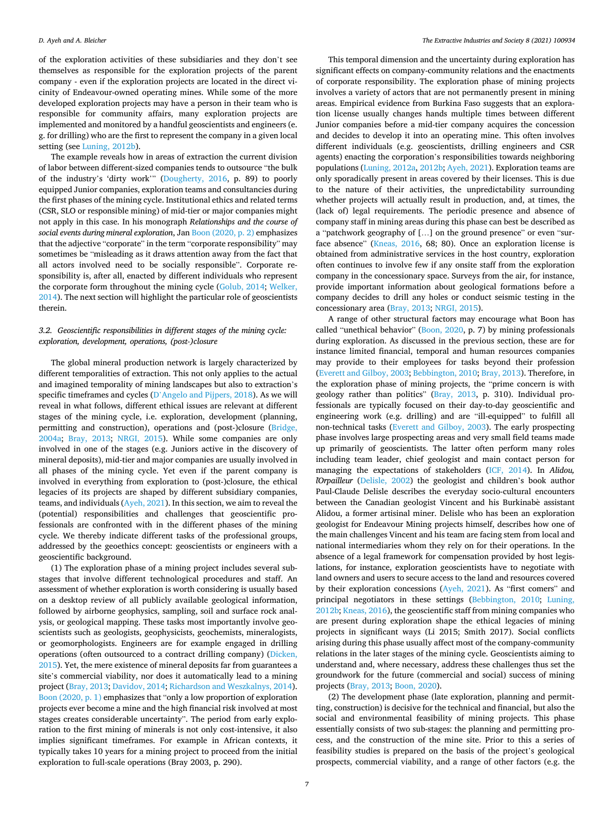of the exploration activities of these subsidiaries and they don't see themselves as responsible for the exploration projects of the parent company - even if the exploration projects are located in the direct vicinity of Endeavour-owned operating mines. While some of the more developed exploration projects may have a person in their team who is responsible for community affairs, many exploration projects are implemented and monitored by a handful geoscientists and engineers (e. g. for drilling) who are the first to represent the company in a given local setting (see [Luning, 2012b](#page-10-0)).

The example reveals how in areas of extraction the current division of labor between different-sized companies tends to outsource "the bulk of the industry's 'dirty work'" ([Dougherty, 2016](#page-9-0), p. 89) to poorly equipped Junior companies, exploration teams and consultancies during the first phases of the mining cycle. Institutional ethics and related terms (CSR, SLO or responsible mining) of mid-tier or major companies might not apply in this case. In his monograph *Relationships and the course of social events during mineral exploration*, Jan [Boon \(2020, p. 2\)](#page-9-0) emphasizes that the adjective "corporate" in the term "corporate responsibility" may sometimes be "misleading as it draws attention away from the fact that all actors involved need to be socially responsible". Corporate responsibility is, after all, enacted by different individuals who represent the corporate form throughout the mining cycle ([Golub, 2014;](#page-9-0) [Welker,](#page-10-0)  [2014\)](#page-10-0). The next section will highlight the particular role of geoscientists therein.

## *3.2. Geoscientific responsibilities in different stages of the mining cycle: exploration, development, operations, (post-)closure*

The global mineral production network is largely characterized by different temporalities of extraction. This not only applies to the actual and imagined temporality of mining landscapes but also to extraction's specific timeframes and cycles (D'[Angelo and Pijpers, 2018](#page-9-0)). As we will reveal in what follows, different ethical issues are relevant at different stages of the mining cycle, i.e. exploration, development (planning, permitting and construction), operations and (post-)closure ([Bridge,](#page-9-0)  [2004a;](#page-9-0) [Bray, 2013](#page-9-0); [NRGI, 2015\)](#page-10-0). While some companies are only involved in one of the stages (e.g. Juniors active in the discovery of mineral deposits), mid-tier and major companies are usually involved in all phases of the mining cycle. Yet even if the parent company is involved in everything from exploration to (post-)closure, the ethical legacies of its projects are shaped by different subsidiary companies, teams, and individuals [\(Ayeh, 2021](#page-9-0)). In this section, we aim to reveal the (potential) responsibilities and challenges that geoscientific professionals are confronted with in the different phases of the mining cycle. We thereby indicate different tasks of the professional groups, addressed by the geoethics concept: geoscientists or engineers with a geoscientific background.

(1) The exploration phase of a mining project includes several substages that involve different technological procedures and staff. An assessment of whether exploration is worth considering is usually based on a desktop review of all publicly available geological information, followed by airborne geophysics, sampling, soil and surface rock analysis, or geological mapping. These tasks most importantly involve geoscientists such as geologists, geophysicists, geochemists, mineralogists, or geomorphologists. Engineers are for example engaged in drilling operations (often outsourced to a contract drilling company) [\(Dicken,](#page-9-0)  [2015\)](#page-9-0). Yet, the mere existence of mineral deposits far from guarantees a site's commercial viability, nor does it automatically lead to a mining project ([Bray, 2013](#page-9-0); [Davidov, 2014](#page-9-0); [Richardson and Weszkalnys, 2014](#page-10-0)). [Boon \(2020, p. 1\)](#page-9-0) emphasizes that "only a low proportion of exploration projects ever become a mine and the high financial risk involved at most stages creates considerable uncertainty". The period from early exploration to the first mining of minerals is not only cost-intensive, it also implies significant timeframes. For example in African contexts, it typically takes 10 years for a mining project to proceed from the initial exploration to full-scale operations (Bray 2003, p. 290).

This temporal dimension and the uncertainty during exploration has significant effects on company-community relations and the enactments of corporate responsibility. The exploration phase of mining projects involves a variety of actors that are not permanently present in mining areas. Empirical evidence from Burkina Faso suggests that an exploration license usually changes hands multiple times between different Junior companies before a mid-tier company acquires the concession and decides to develop it into an operating mine. This often involves different individuals (e.g. geoscientists, drilling engineers and CSR agents) enacting the corporation's responsibilities towards neighboring populations ([Luning, 2012a](#page-10-0), [2012b;](#page-10-0) [Ayeh, 2021](#page-9-0)). Exploration teams are only sporadically present in areas covered by their licenses. This is due to the nature of their activities, the unpredictability surrounding whether projects will actually result in production, and, at times, the (lack of) legal requirements. The periodic presence and absence of company staff in mining areas during this phase can best be described as a "patchwork geography of […] on the ground presence" or even "surface absence" ([Kneas, 2016](#page-9-0), 68; 80). Once an exploration license is obtained from administrative services in the host country, exploration often continues to involve few if any onsite staff from the exploration company in the concessionary space. Surveys from the air, for instance, provide important information about geological formations before a company decides to drill any holes or conduct seismic testing in the concessionary area ([Bray, 2013](#page-9-0); [NRGI, 2015\)](#page-10-0).

A range of other structural factors may encourage what Boon has called "unethical behavior" ([Boon, 2020,](#page-9-0) p. 7) by mining professionals during exploration. As discussed in the previous section, these are for instance limited financial, temporal and human resources companies may provide to their employees for tasks beyond their profession ([Everett and Gilboy, 2003; Bebbington, 2010](#page-9-0); [Bray, 2013](#page-9-0)). Therefore, in the exploration phase of mining projects, the "prime concern is with geology rather than politics" [\(Bray, 2013,](#page-9-0) p. 310). Individual professionals are typically focused on their day-to-day geoscientific and engineering work (e.g. drilling) and are "ill-equipped" to fulfill all non-technical tasks ([Everett and Gilboy, 2003\)](#page-9-0). The early prospecting phase involves large prospecting areas and very small field teams made up primarily of geoscientists. The latter often perform many roles including team leader, chief geologist and main contact person for managing the expectations of stakeholders ([ICF, 2014](#page-9-0)). In *Alidou, l*´*Orpailleur* ([Delisle, 2002\)](#page-9-0) the geologist and children's book author Paul-Claude Delisle describes the everyday socio-cultural encounters between the Canadian geologist Vincent and his Burkinabè assistant Alidou, a former artisinal miner. Delisle who has been an exploration geologist for Endeavour Mining projects himself, describes how one of the main challenges Vincent and his team are facing stem from local and national intermediaries whom they rely on for their operations. In the absence of a legal framework for compensation provided by host legislations, for instance, exploration geoscientists have to negotiate with land owners and users to secure access to the land and resources covered by their exploration concessions ([Ayeh, 2021](#page-9-0)). As "first comers" and principal negotiators in these settings [\(Bebbington, 2010;](#page-9-0) [Luning,](#page-10-0)  [2012b;](#page-10-0) [Kneas, 2016\)](#page-9-0), the geoscientific staff from mining companies who are present during exploration shape the ethical legacies of mining projects in significant ways (Li 2015; Smith 2017). Social conflicts arising during this phase usually affect most of the company-community relations in the later stages of the mining cycle. Geoscientists aiming to understand and, where necessary, address these challenges thus set the groundwork for the future (commercial and social) success of mining projects ([Bray, 2013; Boon, 2020\)](#page-9-0).

(2) The development phase (late exploration, planning and permitting, construction) is decisive for the technical and financial, but also the social and environmental feasibility of mining projects. This phase essentially consists of two sub-stages: the planning and permitting process, and the construction of the mine site. Prior to this a series of feasibility studies is prepared on the basis of the project's geological prospects, commercial viability, and a range of other factors (e.g. the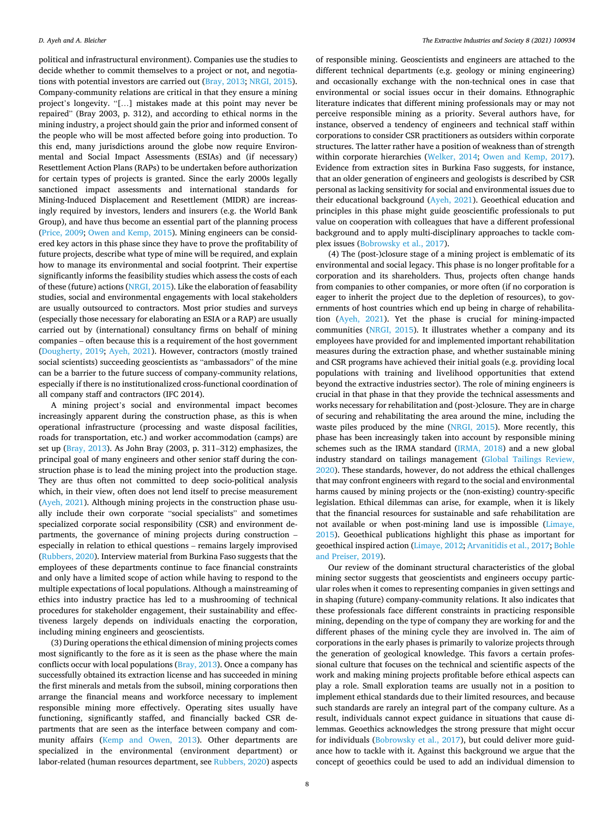political and infrastructural environment). Companies use the studies to decide whether to commit themselves to a project or not, and negotiations with potential investors are carried out [\(Bray, 2013;](#page-9-0) [NRGI, 2015](#page-10-0)). Company-community relations are critical in that they ensure a mining project's longevity. "[…] mistakes made at this point may never be repaired" (Bray 2003, p. 312), and according to ethical norms in the mining industry, a project should gain the prior and informed consent of the people who will be most affected before going into production. To this end, many jurisdictions around the globe now require Environmental and Social Impact Assessments (ESIAs) and (if necessary) Resettlement Action Plans (RAPs) to be undertaken before authorization for certain types of projects is granted. Since the early 2000s legally sanctioned impact assessments and international standards for Mining-Induced Displacement and Resettlement (MIDR) are increasingly required by investors, lenders and insurers (e.g. the World Bank Group), and have thus become an essential part of the planning process ([Price, 2009;](#page-10-0) [Owen and Kemp, 2015\)](#page-10-0). Mining engineers can be considered key actors in this phase since they have to prove the profitability of future projects, describe what type of mine will be required, and explain how to manage its environmental and social footprint. Their expertise significantly informs the feasibility studies which assess the costs of each of these (future) actions ([NRGI, 2015\)](#page-10-0). Like the elaboration of feasability studies, social and environmental engagements with local stakeholders are usually outsourced to contractors. Most prior studies and surveys (especially those necessary for elaborating an ESIA or a RAP) are usually carried out by (international) consultancy firms on behalf of mining companies – often because this is a requirement of the host government ([Dougherty, 2019;](#page-9-0) [Ayeh, 2021\)](#page-9-0). However, contractors (mostly trained social scientists) succeeding geoscientists as "ambassadors" of the mine can be a barrier to the future success of company-community relations, especially if there is no institutionalized cross-functional coordination of all company staff and contractors (IFC 2014).

A mining project's social and environmental impact becomes increasingly apparent during the construction phase, as this is when operational infrastructure (processing and waste disposal facilities, roads for transportation, etc.) and worker accommodation (camps) are set up ([Bray, 2013\)](#page-9-0). As John Bray (2003, p. 311–312) emphasizes, the principal goal of many engineers and other senior staff during the construction phase is to lead the mining project into the production stage. They are thus often not committed to deep socio-political analysis which, in their view, often does not lend itself to precise measurement ([Ayeh, 2021](#page-9-0)). Although mining projects in the construction phase usually include their own corporate "social specialists" and sometimes specialized corporate social responsibility (CSR) and environment departments, the governance of mining projects during construction – especially in relation to ethical questions – remains largely improvised ([Rubbers, 2020](#page-10-0)). Interview material from Burkina Faso suggests that the employees of these departments continue to face financial constraints and only have a limited scope of action while having to respond to the multiple expectations of local populations. Although a mainstreaming of ethics into industry practice has led to a mushrooming of technical procedures for stakeholder engagement, their sustainability and effectiveness largely depends on individuals enacting the corporation, including mining engineers and geoscientists.

(3) During operations the ethical dimension of mining projects comes most significantly to the fore as it is seen as the phase where the main conflicts occur with local populations [\(Bray, 2013\)](#page-9-0). Once a company has successfully obtained its extraction license and has succeeded in mining the first minerals and metals from the subsoil, mining corporations then arrange the financial means and workforce necessary to implement responsible mining more effectively. Operating sites usually have functioning, significantly staffed, and financially backed CSR departments that are seen as the interface between company and community affairs [\(Kemp and Owen, 2013\)](#page-9-0). Other departments are specialized in the environmental (environment department) or labor-related (human resources department, see [Rubbers, 2020](#page-10-0)) aspects

of responsible mining. Geoscientists and engineers are attached to the different technical departments (e.g. geology or mining engineering) and occasionally exchange with the non-technical ones in case that environmental or social issues occur in their domains. Ethnographic literature indicates that different mining professionals may or may not perceive responsible mining as a priority. Several authors have, for instance, observed a tendency of engineers and technical staff within corporations to consider CSR practitioners as outsiders within corporate structures. The latter rather have a position of weakness than of strength within corporate hierarchies ([Welker, 2014](#page-10-0); [Owen and Kemp, 2017](#page-10-0)). Evidence from extraction sites in Burkina Faso suggests, for instance, that an older generation of engineers and geologists is described by CSR personal as lacking sensitivity for social and environmental issues due to their educational background ([Ayeh, 2021\)](#page-9-0). Geoethical education and principles in this phase might guide geoscientific professionals to put value on cooperation with colleagues that have a different professional background and to apply multi-disciplinary approaches to tackle complex issues ([Bobrowsky et al., 2017](#page-9-0)).

(4) The (post-)closure stage of a mining project is emblematic of its environmental and social legacy. This phase is no longer profitable for a corporation and its shareholders. Thus, projects often change hands from companies to other companies, or more often (if no corporation is eager to inherit the project due to the depletion of resources), to governments of host countries which end up being in charge of rehabilitation ([Ayeh, 2021\)](#page-9-0). Yet the phase is crucial for mining-impacted communities [\(NRGI, 2015](#page-10-0)). It illustrates whether a company and its employees have provided for and implemented important rehabilitation measures during the extraction phase, and whether sustainable mining and CSR programs have achieved their initial goals (e.g. providing local populations with training and livelihood opportunities that extend beyond the extractive industries sector). The role of mining engineers is crucial in that phase in that they provide the technical assessments and works necessary for rehabilitation and (post-)closure. They are in charge of securing and rehabilitating the area around the mine, including the waste piles produced by the mine [\(NRGI, 2015](#page-10-0)). More recently, this phase has been increasingly taken into account by responsible mining schemes such as the IRMA standard [\(IRMA, 2018\)](#page-9-0) and a new global industry standard on tailings management [\(Global Tailings Review,](#page-9-0)  [2020\)](#page-9-0). These standards, however, do not address the ethical challenges that may confront engineers with regard to the social and environmental harms caused by mining projects or the (non-existing) country-specific legislation. Ethical dilemmas can arise, for example, when it is likely that the financial resources for sustainable and safe rehabilitation are not available or when post-mining land use is impossible ([Limaye,](#page-10-0)  [2015\)](#page-10-0). Geoethical publications highlight this phase as important for geoethical inspired action ([Limaye, 2012](#page-10-0); [Arvanitidis et al., 2017; Bohle](#page-9-0)  [and Preiser, 2019\)](#page-9-0).

Our review of the dominant structural characteristics of the global mining sector suggests that geoscientists and engineers occupy particular roles when it comes to representing companies in given settings and in shaping (future) company-community relations. It also indicates that these professionals face different constraints in practicing responsible mining, depending on the type of company they are working for and the different phases of the mining cycle they are involved in. The aim of corporations in the early phases is primarily to valorize projects through the generation of geological knowledge. This favors a certain professional culture that focuses on the technical and scientific aspects of the work and making mining projects profitable before ethical aspects can play a role. Small exploration teams are usually not in a position to implement ethical standards due to their limited resources, and because such standards are rarely an integral part of the company culture. As a result, individuals cannot expect guidance in situations that cause dilemmas. Geoethics acknowledges the strong pressure that might occur for individuals [\(Bobrowsky et al., 2017\)](#page-9-0), but could deliver more guidance how to tackle with it. Against this background we argue that the concept of geoethics could be used to add an individual dimension to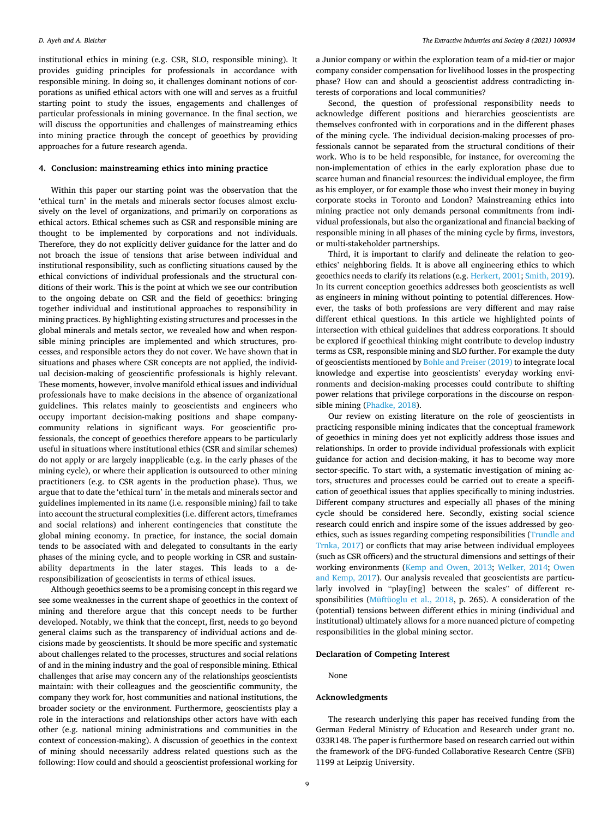institutional ethics in mining (e.g. CSR, SLO, responsible mining). It provides guiding principles for professionals in accordance with responsible mining. In doing so, it challenges dominant notions of corporations as unified ethical actors with one will and serves as a fruitful starting point to study the issues, engagements and challenges of particular professionals in mining governance. In the final section, we will discuss the opportunities and challenges of mainstreaming ethics into mining practice through the concept of geoethics by providing approaches for a future research agenda.

#### **4. Conclusion: mainstreaming ethics into mining practice**

Within this paper our starting point was the observation that the 'ethical turn' in the metals and minerals sector focuses almost exclusively on the level of organizations, and primarily on corporations as ethical actors. Ethical schemes such as CSR and responsible mining are thought to be implemented by corporations and not individuals. Therefore, they do not explicitly deliver guidance for the latter and do not broach the issue of tensions that arise between individual and institutional responsibility, such as conflicting situations caused by the ethical convictions of individual professionals and the structural conditions of their work. This is the point at which we see our contribution to the ongoing debate on CSR and the field of geoethics: bringing together individual and institutional approaches to responsibility in mining practices. By highlighting existing structures and processes in the global minerals and metals sector, we revealed how and when responsible mining principles are implemented and which structures, processes, and responsible actors they do not cover. We have shown that in situations and phases where CSR concepts are not applied, the individual decision-making of geoscientific professionals is highly relevant. These moments, however, involve manifold ethical issues and individual professionals have to make decisions in the absence of organizational guidelines. This relates mainly to geoscientists and engineers who occupy important decision-making positions and shape companycommunity relations in significant ways. For geoscientific professionals, the concept of geoethics therefore appears to be particularly useful in situations where institutional ethics (CSR and similar schemes) do not apply or are largely inapplicable (e.g. in the early phases of the mining cycle), or where their application is outsourced to other mining practitioners (e.g. to CSR agents in the production phase). Thus, we argue that to date the 'ethical turn' in the metals and minerals sector and guidelines implemented in its name (i.e. responsible mining) fail to take into account the structural complexities (i.e. different actors, timeframes and social relations) and inherent contingencies that constitute the global mining economy. In practice, for instance, the social domain tends to be associated with and delegated to consultants in the early phases of the mining cycle, and to people working in CSR and sustainability departments in the later stages. This leads to a deresponsibilization of geoscientists in terms of ethical issues.

Although geoethics seems to be a promising concept in this regard we see some weaknesses in the current shape of geoethics in the context of mining and therefore argue that this concept needs to be further developed. Notably, we think that the concept, first, needs to go beyond general claims such as the transparency of individual actions and decisions made by geoscientists. It should be more specific and systematic about challenges related to the processes, structures and social relations of and in the mining industry and the goal of responsible mining. Ethical challenges that arise may concern any of the relationships geoscientists maintain: with their colleagues and the geoscientific community, the company they work for, host communities and national institutions, the broader society or the environment. Furthermore, geoscientists play a role in the interactions and relationships other actors have with each other (e.g. national mining administrations and communities in the context of concession-making). A discussion of geoethics in the context of mining should necessarily address related questions such as the following: How could and should a geoscientist professional working for

a Junior company or within the exploration team of a mid-tier or major company consider compensation for livelihood losses in the prospecting phase? How can and should a geoscientist address contradicting interests of corporations and local communities?

Second, the question of professional responsibility needs to acknowledge different positions and hierarchies geoscientists are themselves confronted with in corporations and in the different phases of the mining cycle. The individual decision-making processes of professionals cannot be separated from the structural conditions of their work. Who is to be held responsible, for instance, for overcoming the non-implementation of ethics in the early exploration phase due to scarce human and financial resources: the individual employee, the firm as his employer, or for example those who invest their money in buying corporate stocks in Toronto and London? Mainstreaming ethics into mining practice not only demands personal commitments from individual professionals, but also the organizational and financial backing of responsible mining in all phases of the mining cycle by firms, investors, or multi-stakeholder partnerships.

Third, it is important to clarify and delineate the relation to geoethics' neighboring fields. It is above all engineering ethics to which geoethics needs to clarify its relations (e.g. [Herkert, 2001;](#page-9-0) [Smith, 2019](#page-10-0)). In its current conception geoethics addresses both geoscientists as well as engineers in mining without pointing to potential differences. However, the tasks of both professions are very different and may raise different ethical questions. In this article we highlighted points of intersection with ethical guidelines that address corporations. It should be explored if geoethical thinking might contribute to develop industry terms as CSR, responsible mining and SLO further. For example the duty of geoscientists mentioned by [Bohle and Preiser \(2019\)](#page-9-0) to integrate local knowledge and expertise into geoscientists' everyday working environments and decision-making processes could contribute to shifting power relations that privilege corporations in the discourse on responsible mining ([Phadke, 2018\)](#page-10-0).

Our review on existing literature on the role of geoscientists in practicing responsible mining indicates that the conceptual framework of geoethics in mining does yet not explicitly address those issues and relationships. In order to provide individual professionals with explicit guidance for action and decision-making, it has to become way more sector-specific. To start with, a systematic investigation of mining actors, structures and processes could be carried out to create a specification of geoethical issues that applies specifically to mining industries. Different company structures and especially all phases of the mining cycle should be considered here. Secondly, existing social science research could enrich and inspire some of the issues addressed by geoethics, such as issues regarding competing responsibilities ([Trundle and](#page-10-0)  [Trnka, 2017\)](#page-10-0) or conflicts that may arise between individual employees (such as CSR officers) and the structural dimensions and settings of their working environments ([Kemp and Owen, 2013;](#page-9-0) [Welker, 2014;](#page-10-0) [Owen](#page-10-0)  [and Kemp, 2017](#page-10-0)). Our analysis revealed that geoscientists are particularly involved in "play[ing] between the scales" of different responsibilities ([Müftüoglu et al., 2018](#page-10-0), p. 265). A consideration of the (potential) tensions between different ethics in mining (individual and institutional) ultimately allows for a more nuanced picture of competing responsibilities in the global mining sector.

#### **Declaration of Competing Interest**

None

#### **Acknowledgments**

The research underlying this paper has received funding from the German Federal Ministry of Education and Research under grant no. 033R148. The paper is furthermore based on research carried out within the framework of the DFG-funded Collaborative Research Centre (SFB) 1199 at Leipzig University.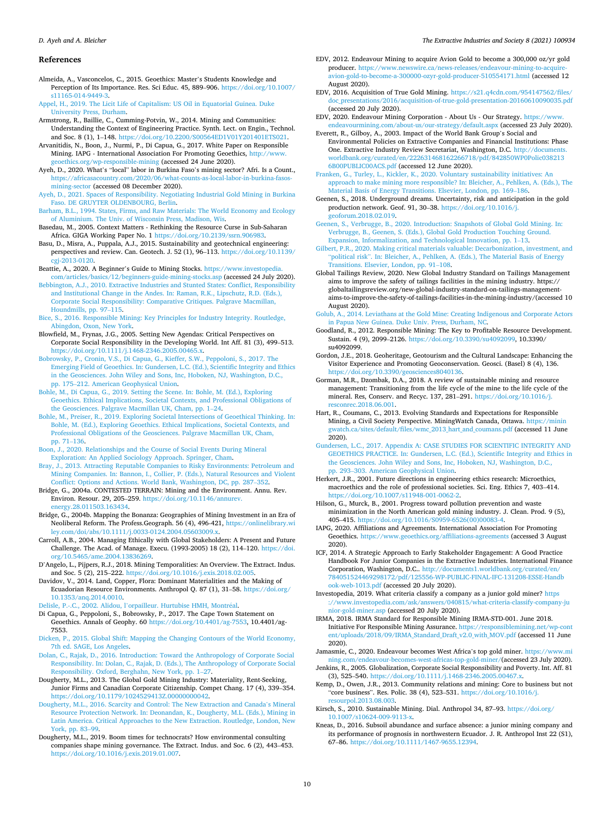#### <span id="page-9-0"></span>*D. Ayeh and A. Bleicher*

#### **References**

Almeida, A., Vasconcelos, C., 2015. Geoethics: Master's Students Knowledge and Perception of Its Importance. Res. Sci Educ. 45, 889–906. [https://doi.org/10.1007/](https://doi.org/10.1007/s11165-014-9449-3)  [s11165-014-9449-3.](https://doi.org/10.1007/s11165-014-9449-3)

- [Appel, H., 2019. The Licit Life of Capitalism: US Oil in Equatorial Guinea. Duke](http://refhub.elsevier.com/S2214-790X(21)00096-4/sbref0002) [University Press, Durham.](http://refhub.elsevier.com/S2214-790X(21)00096-4/sbref0002)
- Armstrong, R., Baillie, C., Cumming-Potvin, W., 2014. Mining and Communities: Understanding the Context of Engineering Practice. Synth. Lect. on Engin., Technol. and Soc. 8 (1), 1–148. [https://doi.org/10.2200/S00564ED1V01Y201401ETS021.](https://doi.org/10.2200/S00564ED1V01Y201401ETS021)

Arvanitidis, N., Boon, J., Nurmi, P., Di Capua, G., 2017. White Paper on Responsible Mining. IAPG - International Association For Promoting Geoethics, [http://www.](http://www.geoethics.org/wp-responsible-mining) [geoethics.org/wp-responsible-mining](http://www.geoethics.org/wp-responsible-mining) (accessed 24 June 2020).

Ayeh, D., 2020. What's "local" labor in Burkina Faso's mining sector? Afri. Is a Count., [https://africasacountry.com/2020/06/what-counts-as-local-labor-in-burkina-fasos](https://africasacountry.com/2020/06/what-counts-as-local-labor-in-burkina-fasos-mining-sector)[mining-sector](https://africasacountry.com/2020/06/what-counts-as-local-labor-in-burkina-fasos-mining-sector) (accessed 08 December 2020).

[Ayeh, D., 2021. Spaces of Responsibility. Negotiating Industrial Gold Mining in Burkina](http://refhub.elsevier.com/S2214-790X(21)00096-4/sbref0006)  [Faso. DE GRUYTER OLDENBOURG, Berlin.](http://refhub.elsevier.com/S2214-790X(21)00096-4/sbref0006)

[Barham, B.L., 1994. States, Firms, and Raw Materials: The World Economy and Ecology](http://refhub.elsevier.com/S2214-790X(21)00096-4/sbref0007)  [of Aluminium. The Univ. of Wisconsin Press, Madison, Wis.](http://refhub.elsevier.com/S2214-790X(21)00096-4/sbref0007)

Basedau, M., 2005. Context Matters - Rethinking the Resource Curse in Sub-Saharan Africa. GIGA Working Paper No. 1 <https://doi.org/10.2139/ssrn.906983>.

Basu, D., Misra, A., Puppala, A.J., 2015. Sustainability and geotechnical engineering: perspectives and review. Can. Geotech. J. 52 (1), 96–113. [https://doi.org/10.1139/](https://doi.org/10.1139/cgj-2013-0120)  [cgj-2013-0120.](https://doi.org/10.1139/cgj-2013-0120)

Beattie, A., 2020. A Beginner's Guide to Mining Stocks. [https://www.investopedia.](https://www.investopedia.com/articles/basics/12/beginners-guide-mining-stocks.asp)  [com/articles/basics/12/beginners-guide-mining-stocks.asp](https://www.investopedia.com/articles/basics/12/beginners-guide-mining-stocks.asp) (accessed 24 July 2020).

[Bebbington, A.J., 2010. Extractive Industries and Stunted States: Conflict, Responsibility](http://refhub.elsevier.com/S2214-790X(21)00096-4/sbref0011)  [and Institutional Change in the Andes. In: Raman, R.K., Lipschutz, R.D. \(Eds.\),](http://refhub.elsevier.com/S2214-790X(21)00096-4/sbref0011)  [Corporate Social Responsibility: Comparative Critiques. Palgrave Macmillan,](http://refhub.elsevier.com/S2214-790X(21)00096-4/sbref0011)  [Houndmills, pp. 97](http://refhub.elsevier.com/S2214-790X(21)00096-4/sbref0011)–115.

[Bice, S., 2016. Responsible Mining: Key Principles for Industry Integrity. Routledge,](http://refhub.elsevier.com/S2214-790X(21)00096-4/sbref0012) [Abingdon, Oxon, New York.](http://refhub.elsevier.com/S2214-790X(21)00096-4/sbref0012)

Blowfield, M., Frynas, J.G., 2005. Setting New Agendas: Critical Perspectives on Corporate Social Responsibility in the Developing World. Int Aff. 81 (3), 499–513. [https://doi.org/10.1111/j.1468-2346.2005.00465.x.](https://doi.org/10.1111/j.1468-2346.2005.00465.x)

[Bobrowsky, P., Cronin, V.S., Di Capua, G., Kieffer, S.W., Peppoloni, S., 2017. The](http://refhub.elsevier.com/S2214-790X(21)00096-4/sbref0014)  [Emerging Field of Geoethics. In: Gundersen, L.C. \(Ed.\), Scientific Integrity and Ethics](http://refhub.elsevier.com/S2214-790X(21)00096-4/sbref0014)  [in the Geosciences. John Wiley and Sons, Inc, Hoboken, NJ, Washington, D.C.,](http://refhub.elsevier.com/S2214-790X(21)00096-4/sbref0014)  pp. 175–[212. American Geophysical Union.](http://refhub.elsevier.com/S2214-790X(21)00096-4/sbref0014)

- [Bohle, M., Di Capua, G., 2019. Setting the Scene. In: Bohle, M. \(Ed.\), Exploring](http://refhub.elsevier.com/S2214-790X(21)00096-4/sbref0015) [Geoethics. Ethical Implications, Societal Contexts, and Professional Obligations of](http://refhub.elsevier.com/S2214-790X(21)00096-4/sbref0015)  [the Geosciences. Palgrave Macmillan UK, Cham, pp. 1](http://refhub.elsevier.com/S2214-790X(21)00096-4/sbref0015)–24.
- [Bohle, M., Preiser, R., 2019. Exploring Societal Intersections of Geoethical Thinking. In:](http://refhub.elsevier.com/S2214-790X(21)00096-4/sbref0016)  [Bohle, M. \(Ed.\), Exploring Geoethics. Ethical Implications, Societal Contexts, and](http://refhub.elsevier.com/S2214-790X(21)00096-4/sbref0016)  [Professional Obligations of the Geosciences. Palgrave Macmillan UK, Cham,](http://refhub.elsevier.com/S2214-790X(21)00096-4/sbref0016)  [pp. 71](http://refhub.elsevier.com/S2214-790X(21)00096-4/sbref0016)–136.
- [Boon, J., 2020. Relationships and the Course of Social Events During Mineral](http://refhub.elsevier.com/S2214-790X(21)00096-4/sbref0017)  [Exploration: An Applied Sociology Approach. Springer, Cham](http://refhub.elsevier.com/S2214-790X(21)00096-4/sbref0017).
- [Bray, J., 2013. Attracting Reputable Companies to Risky Environments: Petroleum and](http://refhub.elsevier.com/S2214-790X(21)00096-4/sbref0018)  [Mining Companies. In: Bannon, I., Collier, P. \(Eds.\), Natural Resources and Violent](http://refhub.elsevier.com/S2214-790X(21)00096-4/sbref0018) [Conflict: Options and Actions. World Bank, Washington, DC, pp. 287](http://refhub.elsevier.com/S2214-790X(21)00096-4/sbref0018)–352.
- Bridge, G., 2004a. CONTESTED TERRAIN: Mining and the Environment. Annu. Rev. Environ. Resour. 29, 205–259. [https://doi.org/10.1146/annurev.](https://doi.org/10.1146/annurev.energy.28.011503.163434) [energy.28.011503.163434](https://doi.org/10.1146/annurev.energy.28.011503.163434).
- Bridge, G., 2004b. Mapping the Bonanza: Geographies of Mining Investment in an Era of Neoliberal Reform. The Profess.Geograph. 56 (4), 496-421, [https://onlinelibrary.wi](https://onlinelibrary.wiley.com/doi/abs/10.1111/j.0033-0124.2004.05603009.x)  [ley.com/doi/abs/10.1111/j.0033-0124.2004.05603009.x.](https://onlinelibrary.wiley.com/doi/abs/10.1111/j.0033-0124.2004.05603009.x)

Carroll, A.B., 2004. Managing Ethically with Global Stakeholders: A Present and Future Challenge. The Acad. of Manage. Execu. (1993-2005) 18 (2), 114–120. [https://doi.](https://doi.org/10.5465/ame.2004.13836269)  [org/10.5465/ame.2004.13836269.](https://doi.org/10.5465/ame.2004.13836269)

D'Angelo, L., Pijpers, R.J., 2018. Mining Temporalities: An Overview. The Extract. Indus. and Soc. 5 (2), 215-222. https://doi.org/10.1016/j.exis.2018.02.0

Davidov, V., 2014. Land, Copper, Flora: Dominant Materialities and the Making of Ecuadorian Resource Environments. Anthropol Q. 87 (1), 31–58. [https://doi.org/](https://doi.org/10.1353/anq.2014.0010)  [10.1353/anq.2014.0010.](https://doi.org/10.1353/anq.2014.0010)

Delisle, P.-.C., 2002. Alidou, l'[orpailleur. Hurtubise HMH, Montr](http://refhub.elsevier.com/S2214-790X(21)00096-4/sbref0024)éal.

Di Capua, G., Peppoloni, S., Bobrowsky, P., 2017. The Cape Town Statement on Geoethics. Annals of Geophy. 60 [https://doi.org/10.4401/ag-7553,](https://doi.org/10.4401/ag-7553) 10.4401/ag-7553.

[Dicken, P., 2015. Global Shift: Mapping the Changing Contours of the World Economy,](http://refhub.elsevier.com/S2214-790X(21)00096-4/sbref0026)  [7th ed. SAGE, Los Angeles.](http://refhub.elsevier.com/S2214-790X(21)00096-4/sbref0026)

[Dolan, C., Rajak, D., 2016. Introduction: Toward the Anthropology of Corporate Social](http://refhub.elsevier.com/S2214-790X(21)00096-4/sbref0027)  [Responsibility. In: Dolan, C., Rajak, D. \(Eds.\), The Anthropology of Corporate Social](http://refhub.elsevier.com/S2214-790X(21)00096-4/sbref0027)  [Responsibility. Oxford, Berghahn, New York, pp. 1](http://refhub.elsevier.com/S2214-790X(21)00096-4/sbref0027)–27.

Dougherty, M.L., 2013. The Global Gold Mining Industry: Materiality, Rent-Seeking, Junior Firms and Canadian Corporate Citizenship. Compet Chang. 17 (4), 339–354. <https://doi.org/10.1179/1024529413Z.00000000042>.

[Dougherty, M.L., 2016. Scarcity and Control: The New Extraction and Canada](http://refhub.elsevier.com/S2214-790X(21)00096-4/sbref0029)'s Mineral [Resource Protection Network. In: Deonandan, K., Dougherty, M.L. \(Eds.\), Mining in](http://refhub.elsevier.com/S2214-790X(21)00096-4/sbref0029)  [Latin America. Critical Approaches to the New Extraction. Routledge, London, New](http://refhub.elsevier.com/S2214-790X(21)00096-4/sbref0029)  [York, pp. 83](http://refhub.elsevier.com/S2214-790X(21)00096-4/sbref0029)–99.

Dougherty, M.L., 2019. Boom times for technocrats? How environmental consulting companies shape mining governance. The Extract. Indus. and Soc. 6 (2), 443–453. [https://doi.org/10.1016/j.exis.2019.01.007.](https://doi.org/10.1016/j.exis.2019.01.007)

- EDV, 2012. Endeavour Mining to acquire Avion Gold to become a 300,000 oz/yr gold producer. https://www.newswire.ca/news-releases/endeavour-mining-to-ac [avion-gold-to-become-a-300000-ozyr-gold-producer-510554171.html](https://www.newswire.ca/news-releases/endeavour-mining-to-acquire-avion-gold-to-become-a-300000-ozyr-gold-producer-510554171.html) (accessed 12 August 2020).
- EDV, 2016. Acquisition of True Gold Mining. [https://s21.q4cdn.com/954147562/files/](https://s21.q4cdn.com/954147562/files/doc_presentations/2016/acquisition-of-true-gold-presentation-20160610090035.pdf) [doc\\_presentations/2016/acquisition-of-true-gold-presentation-20160610090035.pdf](https://s21.q4cdn.com/954147562/files/doc_presentations/2016/acquisition-of-true-gold-presentation-20160610090035.pdf)  (accessed 20 July 2020).

EDV, 2020. Endeavour Mining Corporation - About Us - Our Strategy. [https://www.](https://www.endeavourmining.com/about-us/our-strategy/default.aspx) [endeavourmining.com/about-us/our-strategy/default.aspx](https://www.endeavourmining.com/about-us/our-strategy/default.aspx) (accessed 23 July 2020).

Everett, R., Gilboy, A., 2003. Impact of the World Bank Group's Social and Environmental Policies on Extractive Companies and Financial Institutions: Phase One. Extractive Industry Review Secretariat, Washington, D.C. [http://documents.](http://documents.worldbank.org/curated/en/222631468162266718/pdf/842850WP0Polic0382136B00PUBLIC00ACS.pdf)  [worldbank.org/curated/en/222631468162266718/pdf/842850WP0Polic038213](http://documents.worldbank.org/curated/en/222631468162266718/pdf/842850WP0Polic0382136B00PUBLIC00ACS.pdf)  [6B00PUBLIC00ACS.pdf](http://documents.worldbank.org/curated/en/222631468162266718/pdf/842850WP0Polic0382136B00PUBLIC00ACS.pdf) (accessed 12 June 2020).

[Franken, G., Turley, L., Kickler, K., 2020. Voluntary sustainability initiatives: An](http://refhub.elsevier.com/S2214-790X(21)00096-4/sbref0035)  [approach to make mining more responsible? In: Bleicher, A., Pehlken, A. \(Eds.\), The](http://refhub.elsevier.com/S2214-790X(21)00096-4/sbref0035)  [Material Basis of Energy Transitions. Elsevier, London, pp. 169](http://refhub.elsevier.com/S2214-790X(21)00096-4/sbref0035)–186.

Geenen, S., 2018. Underground dreams. Uncertainty, risk and anticipation in the gold production network. Geof. 91, 30–38. [https://doi.org/10.1016/j.](https://doi.org/10.1016/j.geoforum.2018.02.019)  [geoforum.2018.02.019](https://doi.org/10.1016/j.geoforum.2018.02.019).

[Geenen, S., Verbrugge, B., 2020. Introduction: Snapshots of Global Gold Mining. In:](http://refhub.elsevier.com/S2214-790X(21)00096-4/sbref0037) [Verbrugge, B., Geenen, S. \(Eds.\), Global Gold Production Touching Ground.](http://refhub.elsevier.com/S2214-790X(21)00096-4/sbref0037)  [Expansion, Informalization, and Technological Innovation, pp. 1](http://refhub.elsevier.com/S2214-790X(21)00096-4/sbref0037)–13.

[Gilbert, P.R., 2020. Making critical materials valuable: Decarbonization, investment, and](http://refhub.elsevier.com/S2214-790X(21)00096-4/sbref0038)  "political risk"[. In: Bleicher, A., Pehlken, A. \(Eds.\), The Material Basis of Energy](http://refhub.elsevier.com/S2214-790X(21)00096-4/sbref0038) [Transitions. Elsevier, London, pp. 91](http://refhub.elsevier.com/S2214-790X(21)00096-4/sbref0038)–108.

Global Tailings Review, 2020. New Global Industry Standard on Tailings Management aims to improve the safety of tailings facilities in the mining industry. https:// globaltailingsreview.org/new-global-industry-standard-on-tailings-managementaims-to-improve-the-safety-of-tailings-facilities-in-the-mining-industry/(accessed 10 August 2020).

[Golub, A., 2014. Leviathans at the Gold Mine: Creating Indigenous and Corporate Actors](http://refhub.elsevier.com/S2214-790X(21)00096-4/sbref0040)  [in Papua New Guinea. Duke Univ. Press, Durham, NC](http://refhub.elsevier.com/S2214-790X(21)00096-4/sbref0040).

- Goodland, R., 2012. Responsible Mining: The Key to Profitable Resource Development. Sustain. 4 (9), 2099–2126. [https://doi.org/10.3390/su4092099,](https://doi.org/10.3390/su4092099) 10.3390/ su4092099.
- Gordon, J.E., 2018. Geoheritage, Geotourism and the Cultural Landscape: Enhancing the Visitor Experience and Promoting Geoconservation. Geosci. (Basel) 8 (4), 136. <https://doi.org/10.3390/geosciences8040136>.
- Gorman, M.R., Dzombak, D.A., 2018. A review of sustainable mining and resource management: Transitioning from the life cycle of the mine to the life cycle of the mineral. Res, Conserv. and Recyc. 137, 281–291. [https://doi.org/10.1016/j.](https://doi.org/10.1016/j.resconrec.2018.06.001) [resconrec.2018.06.001](https://doi.org/10.1016/j.resconrec.2018.06.001).

Hart, R., Coumans, C., 2013. Evolving Standards and Expectations for Responsible Mining, a Civil Society Perspective. MiningWatch Canada, Ottawa. [https://minin](https://miningwatch.ca/sites/default/files/wmc_2013_hart_and_coumans.pdf)  [gwatch.ca/sites/default/files/wmc\\_2013\\_hart\\_and\\_coumans.pdf](https://miningwatch.ca/sites/default/files/wmc_2013_hart_and_coumans.pdf) (accessed 11 June 2020).

[Gundersen, L.C., 2017. Appendix A: CASE STUDIES FOR SCIENTIFIC INTEGRITY AND](http://refhub.elsevier.com/S2214-790X(21)00096-4/sbref0044)  [GEOETHICS PRACTICE. In: Gundersen, L.C. \(Ed.\), Scientific Integrity and Ethics in](http://refhub.elsevier.com/S2214-790X(21)00096-4/sbref0044) [the Geosciences. John Wiley and Sons, Inc, Hoboken, NJ, Washington, D.C.,](http://refhub.elsevier.com/S2214-790X(21)00096-4/sbref0044)  pp. 293–[303. American Geophysical Union.](http://refhub.elsevier.com/S2214-790X(21)00096-4/sbref0044)

Herkert, J.R., 2001. Future directions in engineering ethics research: Microethics, macroethics and the role of professional societies. Sci. Eng. Ethics 7, 403–414. [https://doi.org/10.1007/s11948-001-0062-2.](https://doi.org/10.1007/s11948-001-0062-2)

Hilson, G., Murck, B., 2001. Progress toward pollution prevention and waste minimization in the North American gold mining industry. J. Clean. Prod. 9 (5), 405–415. [https://doi.org/10.1016/S0959-6526\(00\)00083-4.](https://doi.org/10.1016/S0959-6526(00)00083-4)

IAPG, 2020. Affiliations and Agreements. International Association For Promoting Geoethics. <https://www.geoethics.org/affiliations-agreements>(accessed 3 August 2020).

ICF, 2014. A Strategic Approach to Early Stakeholder Engagement: A Good Practice Handbook For Junior Companies in the Extractive Industries. International Finance Corporation, Washington, D.C.. [http://documents1.worldbank.org/curated/en/](http://documents1.worldbank.org/curated/en/784051524469298172/pdf/125556-WP-PUBLIC-FINAL-IFC-131208-ESSE-Handbook-web-1013.pdf)  [784051524469298172/pdf/125556-WP-PUBLIC-FINAL-IFC-131208-ESSE-Handb](http://documents1.worldbank.org/curated/en/784051524469298172/pdf/125556-WP-PUBLIC-FINAL-IFC-131208-ESSE-Handbook-web-1013.pdf) [ook-web-1013.pdf](http://documents1.worldbank.org/curated/en/784051524469298172/pdf/125556-WP-PUBLIC-FINAL-IFC-131208-ESSE-Handbook-web-1013.pdf) (accessed 20 July 2020).

Investopedia, 2019. What criteria classify a company as a junior gold miner? [https](https://www.investopedia.com/ask/answers/040815/what-criteria-classify-company-junior-gold-miner.asp)  [://www.investopedia.com/ask/answers/040815/what-criteria-classify-company-ju](https://www.investopedia.com/ask/answers/040815/what-criteria-classify-company-junior-gold-miner.asp)  [nior-gold-miner.asp](https://www.investopedia.com/ask/answers/040815/what-criteria-classify-company-junior-gold-miner.asp) (accessed 20 July 2020).

IRMA, 2018. IRMA Standard for Responsible Mining IRMA-STD-001. June 2018. Initiative For Responsible Mining Assurance. [https://responsiblemining.net/wp-cont](https://responsiblemining.net/wp-content/uploads/2018/09/IRMA_Standard_Draft_v2.0_with_MOV.pdf)  [ent/uploads/2018/09/IRMA\\_Standard\\_Draft\\_v2.0\\_with\\_MOV.pdf](https://responsiblemining.net/wp-content/uploads/2018/09/IRMA_Standard_Draft_v2.0_with_MOV.pdf) (accessed 11 June 2020).

Jamasmie, C., 2020. Endeavour becomes West Africa's top gold miner. [https://www.mi](https://www.mining.com/endeavour-becomes-west-africas-top-gold-miner/)  [ning.com/endeavour-becomes-west-africas-top-gold-miner/](https://www.mining.com/endeavour-becomes-west-africas-top-gold-miner/)(accessed 23 July 2020).

Jenkins, R., 2005. Globalization, Corporate Social Responsibility and Poverty. Int. Aff. 81 (3), 525-540. https://doi.org/10.1111/j.1468-2346.2005.00467.

Kemp, D., Owen, J.R., 2013. Community relations and mining: Core to business but not "core business". Res. Polic. 38 (4), 523–531. [https://doi.org/10.1016/j.](https://doi.org/10.1016/j.resourpol.2013.08.003) [resourpol.2013.08.003.](https://doi.org/10.1016/j.resourpol.2013.08.003)

- Kirsch, S., 2010. Sustainable Mining. Dial. Anthropol 34, 87–93. [https://doi.org/](https://doi.org/10.1007/s10624-009-9113-x)  [10.1007/s10624-009-9113-x.](https://doi.org/10.1007/s10624-009-9113-x)
- Kneas, D., 2016. Subsoil abundance and surface absence: a junior mining company and its performance of prognosis in northwestern Ecuador. J. R. Anthropol Inst 22 (S1), 67–86. <https://doi.org/10.1111/1467-9655.12394>.